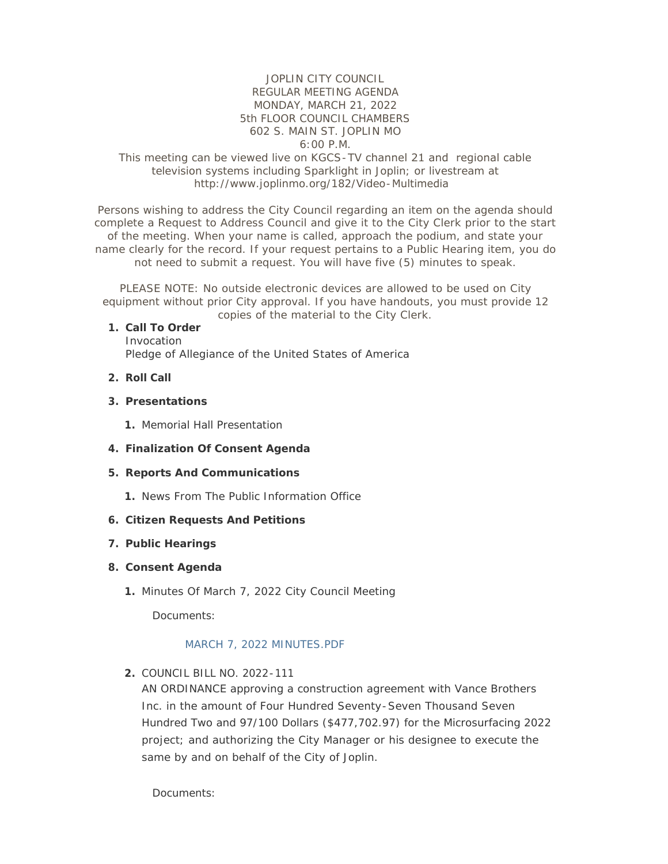## JOPLIN CITY COUNCIL REGULAR MEETING AGENDA MONDAY, MARCH 21, 2022 5th FLOOR COUNCIL CHAMBERS 602 S. MAIN ST. JOPLIN MO 6:00 P.M.

## This meeting can be viewed live on KGCS-TV channel 21 and regional cable television systems including Sparklight in Joplin; or livestream at http://www.joplinmo.org/182/Video-Multimedia

Persons wishing to address the City Council regarding an item on the agenda should complete a Request to Address Council and give it to the City Clerk prior to the start of the meeting. When your name is called, approach the podium, and state your name clearly for the record. If your request pertains to a Public Hearing item, you do not need to submit a request. You will have five (5) minutes to speak.

PLEASE NOTE: No outside electronic devices are allowed to be used on City equipment without prior City approval. If you have handouts, you must provide 12 copies of the material to the City Clerk.

#### **Call To Order 1.**

Invocation Pledge of Allegiance of the United States of America

- **Roll Call 2.**
- **Presentations 3.**
	- 1. Memorial Hall Presentation
- **Finalization Of Consent Agenda 4.**
- **Reports And Communications 5.**
	- 1. News From The Public Information Office

### **Citizen Requests And Petitions 6.**

### **Public Hearings 7.**

### **Consent Agenda 8.**

1. Minutes Of March 7, 2022 City Council Meeting

Documents:

## [MARCH 7, 2022 MINUTES.PDF](http://www.joplinmo.org/AgendaCenter/ViewFile/Item/8403?fileID=50006)

### COUNCIL BILL NO. 2022-111 **2.**

AN ORDINANCE approving a construction agreement with Vance Brothers Inc. in the amount of Four Hundred Seventy-Seven Thousand Seven Hundred Two and 97/100 Dollars (\$477,702.97) for the Microsurfacing 2022 project; and authorizing the City Manager or his designee to execute the same by and on behalf of the City of Joplin.

Documents: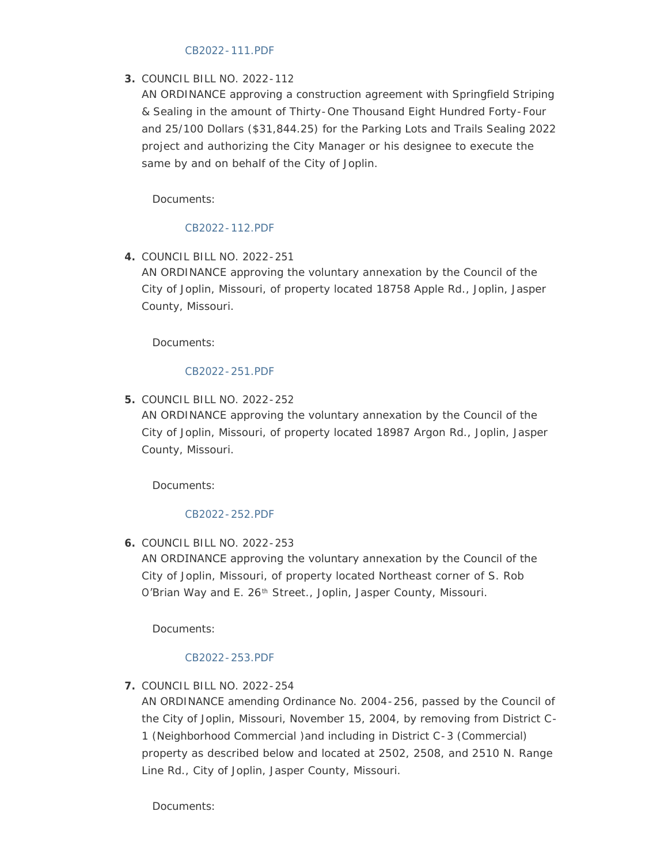## [CB2022-111.PDF](http://www.joplinmo.org/AgendaCenter/ViewFile/Item/8386?fileID=49819)

# COUNCIL BILL NO. 2022-112 **3.**

AN ORDINANCE approving a construction agreement with Springfield Striping & Sealing in the amount of Thirty-One Thousand Eight Hundred Forty-Four and 25/100 Dollars (\$31,844.25) for the Parking Lots and Trails Sealing 2022 project and authorizing the City Manager or his designee to execute the same by and on behalf of the City of Joplin.

Documents:

# [CB2022-112.PDF](http://www.joplinmo.org/AgendaCenter/ViewFile/Item/8387?fileID=49820)

COUNCIL BILL NO. 2022-251 **4.**

AN ORDINANCE approving the voluntary annexation by the Council of the City of Joplin, Missouri, of property located 18758 Apple Rd., Joplin, Jasper County, Missouri.

Documents:

# [CB2022-251.PDF](http://www.joplinmo.org/AgendaCenter/ViewFile/Item/8382?fileID=49815)

COUNCIL BILL NO. 2022-252 **5.**

AN ORDINANCE approving the voluntary annexation by the Council of the City of Joplin, Missouri, of property located 18987 Argon Rd., Joplin, Jasper County, Missouri.

Documents:

# [CB2022-252.PDF](http://www.joplinmo.org/AgendaCenter/ViewFile/Item/8383?fileID=49816)

COUNCIL BILL NO. 2022-253 **6.**

AN ORDINANCE approving the voluntary annexation by the Council of the City of Joplin, Missouri, of property located Northeast corner of S. Rob O'Brian Way and E. 26<sup>th</sup> Street., Joplin, Jasper County, Missouri.

Documents:

# [CB2022-253.PDF](http://www.joplinmo.org/AgendaCenter/ViewFile/Item/8384?fileID=49817)

COUNCIL BILL NO. 2022-254 **7.**

AN ORDINANCE amending Ordinance No. 2004-256, passed by the Council of the City of Joplin, Missouri, November 15, 2004, by removing from District C-1 (Neighborhood Commercial )and including in District C-3 (Commercial) property as described below and located at 2502, 2508, and 2510 N. Range Line Rd., City of Joplin, Jasper County, Missouri.

Documents: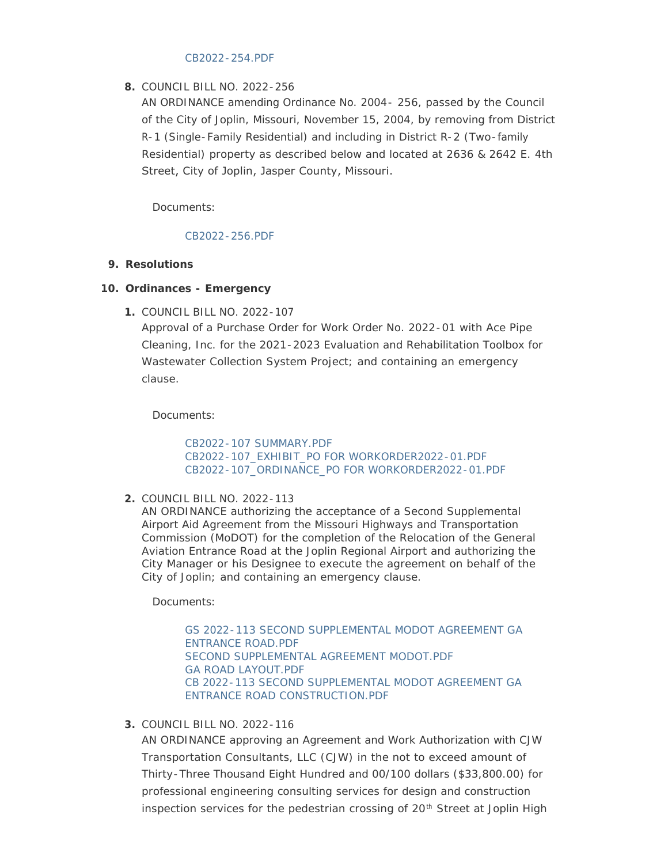#### [CB2022-254.PDF](http://www.joplinmo.org/AgendaCenter/ViewFile/Item/8385?fileID=49818)

# COUNCIL BILL NO. 2022-256 **8.**

AN ORDINANCE amending Ordinance No. 2004- 256, passed by the Council of the City of Joplin, Missouri, November 15, 2004, by removing from District R-1 (Single-Family Residential) and including in District R-2 (Two-family Residential) property as described below and located at 2636 & 2642 E. 4th Street, City of Joplin, Jasper County, Missouri.

Documents:

# [CB2022-256.PDF](http://www.joplinmo.org/AgendaCenter/ViewFile/Item/8404?fileID=50011)

# **Resolutions 9.**

# **Ordinances - Emergency 10.**

COUNCIL BILL NO. 2022-107 **1.**

Approval of a Purchase Order for Work Order No. 2022-01 with Ace Pipe Cleaning, Inc. for the 2021-2023 Evaluation and Rehabilitation Toolbox for Wastewater Collection System Project; and containing an emergency clause.

Documents:

[CB2022-107 SUMMARY.PDF](http://www.joplinmo.org/AgendaCenter/ViewFile/Item/8391?fileID=50038) [CB2022-107\\_EXHIBIT\\_PO FOR WORKORDER2022-01.PDF](http://www.joplinmo.org/AgendaCenter/ViewFile/Item/8391?fileID=49919) [CB2022-107\\_ORDINANCE\\_PO FOR WORKORDER2022-01.PDF](http://www.joplinmo.org/AgendaCenter/ViewFile/Item/8391?fileID=50039)

COUNCIL BILL NO. 2022-113 **2.**

AN ORDINANCE authorizing the acceptance of a Second Supplemental Airport Aid Agreement from the Missouri Highways and Transportation Commission (MoDOT) for the completion of the Relocation of the General Aviation Entrance Road at the Joplin Regional Airport and authorizing the City Manager or his Designee to execute the agreement on behalf of the City of Joplin; and containing an emergency clause.

Documents:

[GS 2022-113 SECOND SUPPLEMENTAL MODOT AGREEMENT GA](http://www.joplinmo.org/AgendaCenter/ViewFile/Item/8389?fileID=49858)  ENTRANCE ROAD.PDF [SECOND SUPPLEMENTAL AGREEMENT MODOT.PDF](http://www.joplinmo.org/AgendaCenter/ViewFile/Item/8389?fileID=49860) [GA ROAD LAYOUT.PDF](http://www.joplinmo.org/AgendaCenter/ViewFile/Item/8389?fileID=49861) [CB 2022-113 SECOND SUPPLEMENTAL MODOT AGREEMENT GA](http://www.joplinmo.org/AgendaCenter/ViewFile/Item/8389?fileID=49859)  ENTRANCE ROAD CONSTRUCTION.PDF

COUNCIL BILL NO. 2022-116 **3.**

AN ORDINANCE approving an Agreement and Work Authorization with CJW Transportation Consultants, LLC (CJW) in the not to exceed amount of Thirty-Three Thousand Eight Hundred and 00/100 dollars (\$33,800.00) for professional engineering consulting services for design and construction inspection services for the pedestrian crossing of  $20<sup>th</sup>$  Street at Joplin High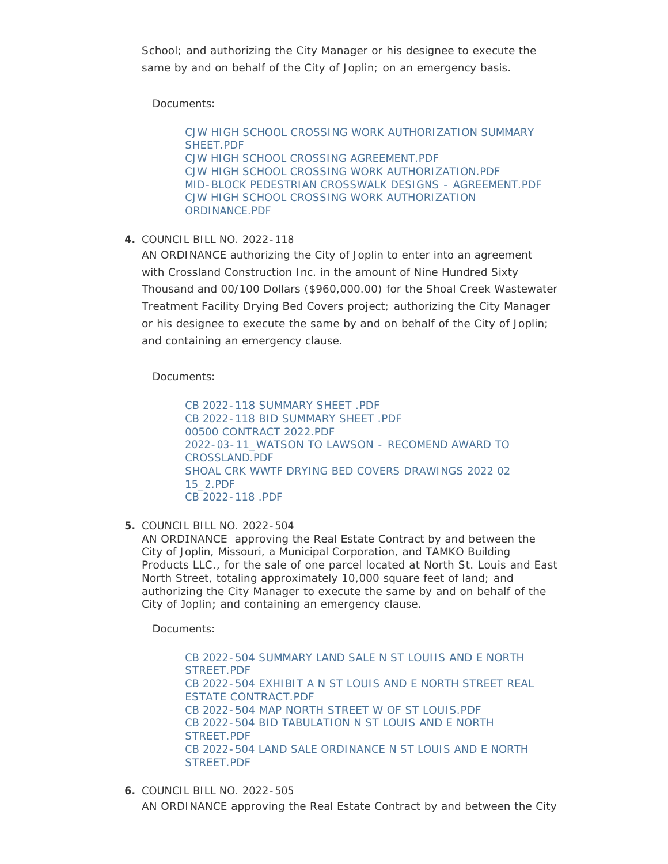School; and authorizing the City Manager or his designee to execute the same by and on behalf of the City of Joplin; on an emergency basis.

Documents:

[CJW HIGH SCHOOL CROSSING WORK AUTHORIZATION SUMMARY](http://www.joplinmo.org/AgendaCenter/ViewFile/Item/8401?fileID=49984)  SHEET.PDF [CJW HIGH SCHOOL CROSSING AGREEMENT.PDF](http://www.joplinmo.org/AgendaCenter/ViewFile/Item/8401?fileID=49982) [CJW HIGH SCHOOL CROSSING WORK AUTHORIZATION.PDF](http://www.joplinmo.org/AgendaCenter/ViewFile/Item/8401?fileID=49980) [MID-BLOCK PEDESTRIAN CROSSWALK DESIGNS - AGREEMENT.PDF](http://www.joplinmo.org/AgendaCenter/ViewFile/Item/8401?fileID=49981) [CJW HIGH SCHOOL CROSSING WORK AUTHORIZATION](http://www.joplinmo.org/AgendaCenter/ViewFile/Item/8401?fileID=49983)  ORDINANCE.PDF

COUNCIL BILL NO. 2022-118 **4.**

AN ORDINANCE authorizing the City of Joplin to enter into an agreement with Crossland Construction Inc. in the amount of Nine Hundred Sixty Thousand and 00/100 Dollars (\$960,000.00) for the Shoal Creek Wastewater Treatment Facility Drying Bed Covers project; authorizing the City Manager or his designee to execute the same by and on behalf of the City of Joplin; and containing an emergency clause.

Documents:

[CB 2022-118 SUMMARY SHEET .PDF](http://www.joplinmo.org/AgendaCenter/ViewFile/Item/8392?fileID=50060) [CB 2022-118 BID SUMMARY SHEET .PDF](http://www.joplinmo.org/AgendaCenter/ViewFile/Item/8392?fileID=50061) [00500 CONTRACT 2022.PDF](http://www.joplinmo.org/AgendaCenter/ViewFile/Item/8392?fileID=49937) [2022-03-11\\_WATSON TO LAWSON - RECOMEND AWARD TO](http://www.joplinmo.org/AgendaCenter/ViewFile/Item/8392?fileID=49938)  CROSSLAND.PDF [SHOAL CRK WWTF DRYING BED COVERS DRAWINGS 2022 02](http://www.joplinmo.org/AgendaCenter/ViewFile/Item/8392?fileID=49939)  15\_2.PDF [CB 2022-118 .PDF](http://www.joplinmo.org/AgendaCenter/ViewFile/Item/8392?fileID=50062)

COUNCIL BILL NO. 2022-504 **5.**

AN ORDINANCE approving the Real Estate Contract by and between the City of Joplin, Missouri, a Municipal Corporation, and TAMKO Building Products LLC., for the sale of one parcel located at North St. Louis and East North Street, totaling approximately 10,000 square feet of land; and authorizing the City Manager to execute the same by and on behalf of the City of Joplin; and containing an emergency clause.

Documents:

[CB 2022-504 SUMMARY LAND SALE N ST LOUIIS AND E NORTH](http://www.joplinmo.org/AgendaCenter/ViewFile/Item/8394?fileID=49931)  STREET.PDF [CB 2022-504 EXHIBIT A N ST LOUIS AND E NORTH STREET REAL](http://www.joplinmo.org/AgendaCenter/ViewFile/Item/8394?fileID=49928)  ESTATE CONTRACT.PDF [CB 2022-504 MAP NORTH STREET W OF ST LOUIS.PDF](http://www.joplinmo.org/AgendaCenter/ViewFile/Item/8394?fileID=49930) [CB 2022-504 BID TABULATION N ST LOUIS AND E NORTH](http://www.joplinmo.org/AgendaCenter/ViewFile/Item/8394?fileID=49927)  STREET.PDF [CB 2022-504 LAND SALE ORDINANCE N ST LOUIS AND E NORTH](http://www.joplinmo.org/AgendaCenter/ViewFile/Item/8394?fileID=49929)  STREET.PDF

COUNCIL BILL NO. 2022-505 **6.** AN ORDINANCE approving the Real Estate Contract by and between the City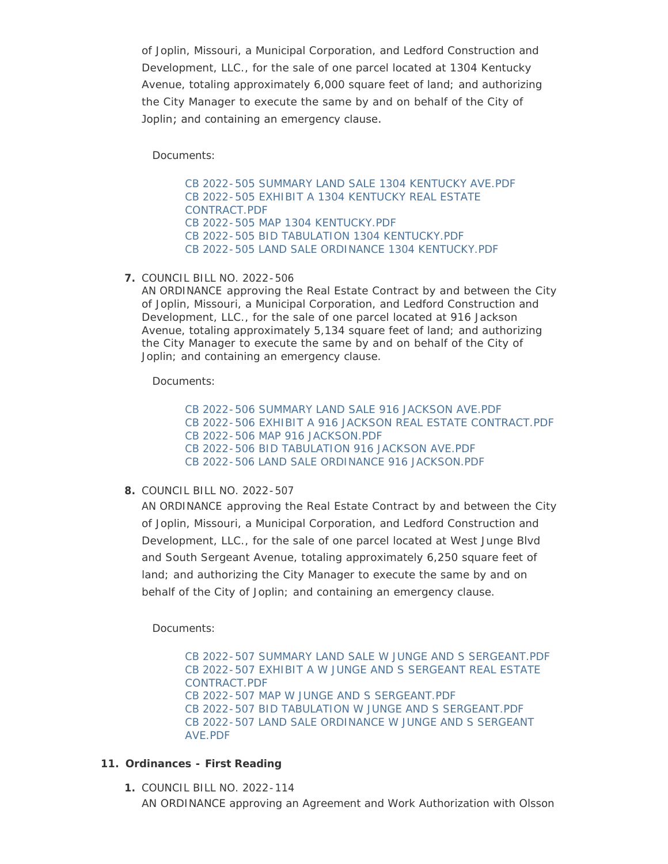of Joplin, Missouri, a Municipal Corporation, and Ledford Construction and Development, LLC., for the sale of one parcel located at 1304 Kentucky Avenue, totaling approximately 6,000 square feet of land; and authorizing the City Manager to execute the same by and on behalf of the City of Joplin; and containing an emergency clause.

Documents:

[CB 2022-505 SUMMARY LAND SALE 1304 KENTUCKY AVE.PDF](http://www.joplinmo.org/AgendaCenter/ViewFile/Item/8395?fileID=49936) [CB 2022-505 EXHIBIT A 1304 KENTUCKY REAL ESTATE](http://www.joplinmo.org/AgendaCenter/ViewFile/Item/8395?fileID=49933)  CONTRACT.PDF [CB 2022-505 MAP 1304 KENTUCKY.PDF](http://www.joplinmo.org/AgendaCenter/ViewFile/Item/8395?fileID=49935) [CB 2022-505 BID TABULATION 1304 KENTUCKY.PDF](http://www.joplinmo.org/AgendaCenter/ViewFile/Item/8395?fileID=49932) [CB 2022-505 LAND SALE ORDINANCE 1304 KENTUCKY.PDF](http://www.joplinmo.org/AgendaCenter/ViewFile/Item/8395?fileID=49934)

COUNCIL BILL NO. 2022-506 **7.**

AN ORDINANCE approving the Real Estate Contract by and between the City of Joplin, Missouri, a Municipal Corporation, and Ledford Construction and Development, LLC., for the sale of one parcel located at 916 Jackson Avenue, totaling approximately 5,134 square feet of land; and authorizing the City Manager to execute the same by and on behalf of the City of Joplin; and containing an emergency clause.

Documents:

[CB 2022-506 SUMMARY LAND SALE 916 JACKSON AVE.PDF](http://www.joplinmo.org/AgendaCenter/ViewFile/Item/8396?fileID=49944) [CB 2022-506 EXHIBIT A 916 JACKSON REAL ESTATE CONTRACT.PDF](http://www.joplinmo.org/AgendaCenter/ViewFile/Item/8396?fileID=49941) [CB 2022-506 MAP 916 JACKSON.PDF](http://www.joplinmo.org/AgendaCenter/ViewFile/Item/8396?fileID=49943) [CB 2022-506 BID TABULATION 916 JACKSON AVE.PDF](http://www.joplinmo.org/AgendaCenter/ViewFile/Item/8396?fileID=49940) [CB 2022-506 LAND SALE ORDINANCE 916 JACKSON.PDF](http://www.joplinmo.org/AgendaCenter/ViewFile/Item/8396?fileID=49942)

COUNCIL BILL NO. 2022-507 **8.**

AN ORDINANCE approving the Real Estate Contract by and between the City of Joplin, Missouri, a Municipal Corporation, and Ledford Construction and Development, LLC., for the sale of one parcel located at West Junge Blvd and South Sergeant Avenue, totaling approximately 6,250 square feet of land; and authorizing the City Manager to execute the same by and on behalf of the City of Joplin; and containing an emergency clause.

Documents:

[CB 2022-507 SUMMARY LAND SALE W JUNGE AND S SERGEANT.PDF](http://www.joplinmo.org/AgendaCenter/ViewFile/Item/8397?fileID=49949) [CB 2022-507 EXHIBIT A W JUNGE AND S SERGEANT REAL ESTATE](http://www.joplinmo.org/AgendaCenter/ViewFile/Item/8397?fileID=49945)  CONTRACT.PDF [CB 2022-507 MAP W JUNGE AND S SERGEANT.PDF](http://www.joplinmo.org/AgendaCenter/ViewFile/Item/8397?fileID=49948) [CB 2022-507 BID TABULATION W JUNGE AND S SERGEANT.PDF](http://www.joplinmo.org/AgendaCenter/ViewFile/Item/8397?fileID=49946) [CB 2022-507 LAND SALE ORDINANCE W JUNGE AND S SERGEANT](http://www.joplinmo.org/AgendaCenter/ViewFile/Item/8397?fileID=49947)  AVE.PDF

# **Ordinances - First Reading 11.**

COUNCIL BILL NO. 2022-114 **1.** AN ORDINANCE approving an Agreement and Work Authorization with Olsson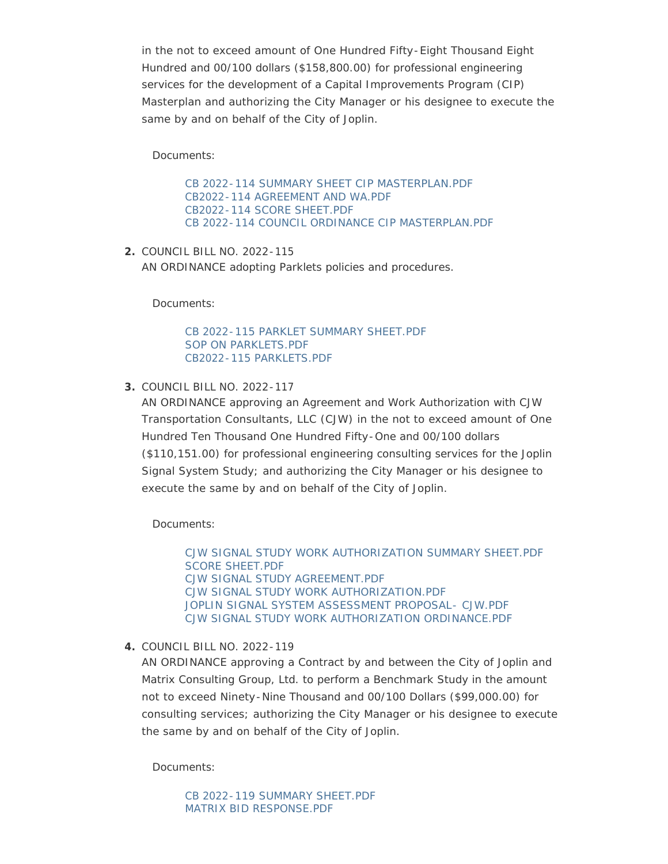in the not to exceed amount of One Hundred Fifty-Eight Thousand Eight Hundred and 00/100 dollars (\$158,800.00) for professional engineering services for the development of a Capital Improvements Program (CIP) Masterplan and authorizing the City Manager or his designee to execute the same by and on behalf of the City of Joplin.

Documents:

[CB 2022-114 SUMMARY SHEET CIP MASTERPLAN.PDF](http://www.joplinmo.org/AgendaCenter/ViewFile/Item/8399?fileID=50056) [CB2022-114 AGREEMENT AND WA.PDF](http://www.joplinmo.org/AgendaCenter/ViewFile/Item/8399?fileID=49957) [CB2022-114 SCORE SHEET.PDF](http://www.joplinmo.org/AgendaCenter/ViewFile/Item/8399?fileID=49954) [CB 2022-114 COUNCIL ORDINANCE CIP MASTERPLAN.PDF](http://www.joplinmo.org/AgendaCenter/ViewFile/Item/8399?fileID=50057)

COUNCIL BILL NO. 2022-115 **2.** AN ORDINANCE adopting Parklets policies and procedures.

Documents:

[CB 2022-115 PARKLET SUMMARY SHEET.PDF](http://www.joplinmo.org/AgendaCenter/ViewFile/Item/8398?fileID=50058) [SOP ON PARKLETS.PDF](http://www.joplinmo.org/AgendaCenter/ViewFile/Item/8398?fileID=50035) [CB2022-115 PARKLETS.PDF](http://www.joplinmo.org/AgendaCenter/ViewFile/Item/8398?fileID=50059)

COUNCIL BILL NO. 2022-117 **3.**

AN ORDINANCE approving an Agreement and Work Authorization with CJW Transportation Consultants, LLC (CJW) in the not to exceed amount of One Hundred Ten Thousand One Hundred Fifty-One and 00/100 dollars (\$110,151.00) for professional engineering consulting services for the Joplin Signal System Study; and authorizing the City Manager or his designee to execute the same by and on behalf of the City of Joplin.

Documents:

[CJW SIGNAL STUDY WORK AUTHORIZATION SUMMARY SHEET.PDF](http://www.joplinmo.org/AgendaCenter/ViewFile/Item/8402?fileID=50005) [SCORE SHEET.PDF](http://www.joplinmo.org/AgendaCenter/ViewFile/Item/8402?fileID=50002) [CJW SIGNAL STUDY AGREEMENT.PDF](http://www.joplinmo.org/AgendaCenter/ViewFile/Item/8402?fileID=50003) [CJW SIGNAL STUDY WORK AUTHORIZATION.PDF](http://www.joplinmo.org/AgendaCenter/ViewFile/Item/8402?fileID=50000) [JOPLIN SIGNAL SYSTEM ASSESSMENT PROPOSAL- CJW.PDF](http://www.joplinmo.org/AgendaCenter/ViewFile/Item/8402?fileID=50001) [CJW SIGNAL STUDY WORK AUTHORIZATION ORDINANCE.PDF](http://www.joplinmo.org/AgendaCenter/ViewFile/Item/8402?fileID=50004)

COUNCIL BILL NO. 2022-119 **4.**

AN ORDINANCE approving a Contract by and between the City of Joplin and Matrix Consulting Group, Ltd. to perform a Benchmark Study in the amount not to exceed Ninety-Nine Thousand and 00/100 Dollars (\$99,000.00) for consulting services; authorizing the City Manager or his designee to execute the same by and on behalf of the City of Joplin.

Documents:

[CB 2022-119 SUMMARY SHEET.PDF](http://www.joplinmo.org/AgendaCenter/ViewFile/Item/8390?fileID=50036) [MATRIX BID RESPONSE.PDF](http://www.joplinmo.org/AgendaCenter/ViewFile/Item/8390?fileID=49867)